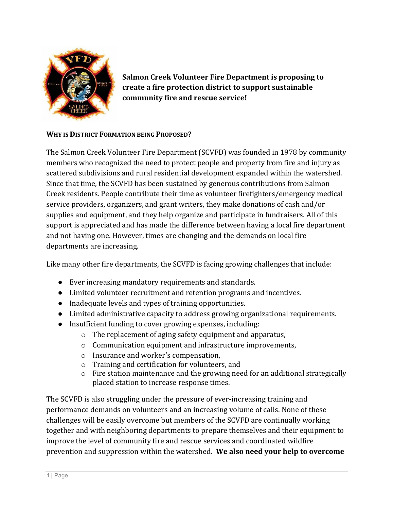

**Salmon Creek Volunteer Fire Department is proposing to create a fire protection district to support sustainable community fire and rescue service!**

### **WHY IS DISTRICT FORMATION BEING PROPOSED?**

The Salmon Creek Volunteer Fire Department (SCVFD) was founded in 1978 by community members who recognized the need to protect people and property from fire and injury as scattered subdivisions and rural residential development expanded within the watershed. Since that time, the SCVFD has been sustained by generous contributions from Salmon Creek residents. People contribute their time as volunteer firefighters/emergency medical service providers, organizers, and grant writers, they make donations of cash and/or supplies and equipment, and they help organize and participate in fundraisers. All of this support is appreciated and has made the difference between having a local fire department and not having one. However, times are changing and the demands on local fire departments are increasing.

Like many other fire departments, the SCVFD is facing growing challenges that include:

- Ever increasing mandatory requirements and standards.
- Limited volunteer recruitment and retention programs and incentives.
- Inadequate levels and types of training opportunities.
- Limited administrative capacity to address growing organizational requirements.
- Insufficient funding to cover growing expenses, including:
	- o The replacement of aging safety equipment and apparatus,
	- o Communication equipment and infrastructure improvements,
	- o Insurance and worker's compensation,
	- o Training and certification for volunteers, and
	- o Fire station maintenance and the growing need for an additional strategically placed station to increase response times.

The SCVFD is also struggling under the pressure of ever-increasing training and performance demands on volunteers and an increasing volume of calls. None of these challenges will be easily overcome but members of the SCVFD are continually working together and with neighboring departments to prepare themselves and their equipment to improve the level of community fire and rescue services and coordinated wildfire prevention and suppression within the watershed. **We also need your help to overcome**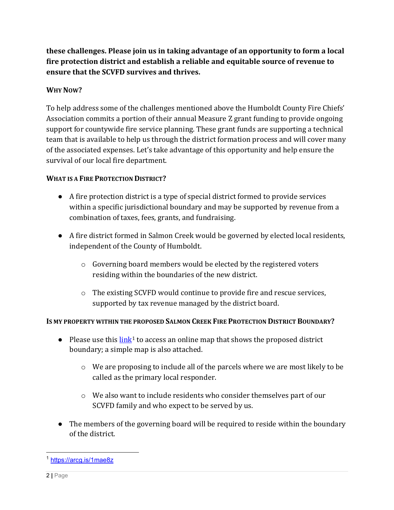**these challenges. Please join us in taking advantage of an opportunity to form a local fire protection district and establish a reliable and equitable source of revenue to ensure that the SCVFD survives and thrives.**

## **WHY NOW?**

To help address some of the challenges mentioned above the Humboldt County Fire Chiefs' Association commits a portion of their annual Measure Z grant funding to provide ongoing support for countywide fire service planning. These grant funds are supporting a technical team that is available to help us through the district formation process and will cover many of the associated expenses. Let's take advantage of this opportunity and help ensure the survival of our local fire department.

## **WHAT IS A FIRE PROTECTION DISTRICT?**

- A fire protection district is a type of special district formed to provide services within a specific jurisdictional boundary and may be supported by revenue from a combination of taxes, fees, grants, and fundraising.
- A fire district formed in Salmon Creek would be governed by elected local residents, independent of the County of Humboldt.
	- o Governing board members would be elected by the registered voters residing within the boundaries of the new district.
	- o The existing SCVFD would continue to provide fire and rescue services, supported by tax revenue managed by the district board.

## **IS MY PROPERTY WITHIN THE PROPOSED SALMON CREEK FIRE PROTECTION DISTRICT BOUNDARY?**

- Please use this  $\frac{\ln k}{k}$  to access an online map that shows the proposed district boundary; a simple map is also attached.
	- o We are proposing to include all of the parcels where we are most likely to be called as the primary local responder.
	- $\circ$  We also want to include residents who consider themselves part of our SCVFD family and who expect to be served by us.
- The members of the governing board will be required to reside within the boundary of the district.

<span id="page-1-0"></span><sup>1</sup> <https://arcg.is/1mae8z>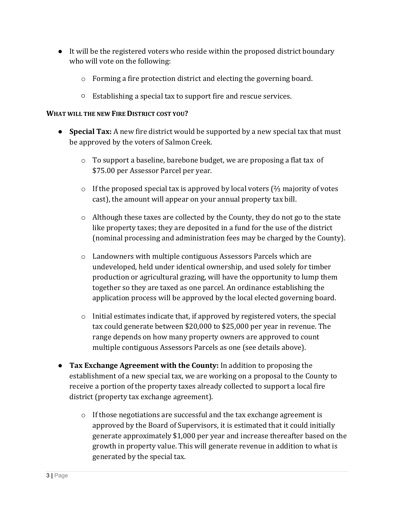- It will be the registered voters who reside within the proposed district boundary who will vote on the following:
	- o Forming a fire protection district and electing the governing board.
	- Establishing a special tax to support fire and rescue services.

#### **WHAT WILL THE NEW FIRE DISTRICT COST YOU?**

- **Special Tax:** A new fire district would be supported by a new special tax that must be approved by the voters of Salmon Creek.
	- $\circ$  To support a baseline, barebone budget, we are proposing a flat tax of \$75.00 per Assessor Parcel per year.
	- o If the proposed special tax is approved by local voters (⅔ majority of votes cast), the amount will appear on your annual property tax bill.
	- $\circ$  Although these taxes are collected by the County, they do not go to the state like property taxes; they are deposited in a fund for the use of the district (nominal processing and administration fees may be charged by the County).
	- o Landowners with multiple contiguous Assessors Parcels which are undeveloped, held under identical ownership, and used solely for timber production or agricultural grazing, will have the opportunity to lump them together so they are taxed as one parcel. An ordinance establishing the application process will be approved by the local elected governing board.
	- $\circ$  Initial estimates indicate that, if approved by registered voters, the special tax could generate between \$20,000 to \$25,000 per year in revenue. The range depends on how many property owners are approved to count multiple contiguous Assessors Parcels as one (see details above).
- **Tax Exchange Agreement with the County:** In addition to proposing the establishment of a new special tax, we are working on a proposal to the County to receive a portion of the property taxes already collected to support a local fire district (property tax exchange agreement).
	- $\circ$  If those negotiations are successful and the tax exchange agreement is approved by the Board of Supervisors, it is estimated that it could initially generate approximately \$1,000 per year and increase thereafter based on the growth in property value. This will generate revenue in addition to what is generated by the special tax.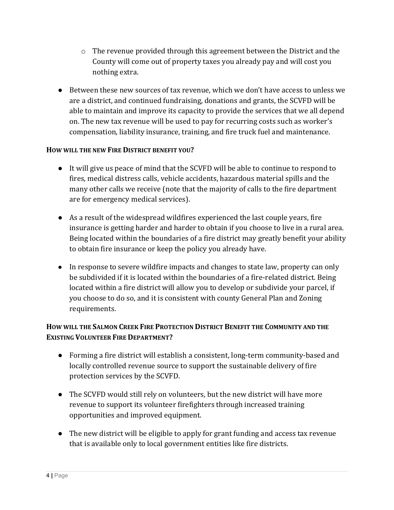- $\circ$  The revenue provided through this agreement between the District and the County will come out of property taxes you already pay and will cost you nothing extra.
- Between these new sources of tax revenue, which we don't have access to unless we are a district, and continued fundraising, donations and grants, the SCVFD will be able to maintain and improve its capacity to provide the services that we all depend on. The new tax revenue will be used to pay for recurring costs such as worker's compensation, liability insurance, training, and fire truck fuel and maintenance.

### **HOW WILL THE NEW FIRE DISTRICT BENEFIT YOU?**

- It will give us peace of mind that the SCVFD will be able to continue to respond to fires, medical distress calls, vehicle accidents, hazardous material spills and the many other calls we receive (note that the majority of calls to the fire department are for emergency medical services).
- As a result of the widespread wildfires experienced the last couple years, fire insurance is getting harder and harder to obtain if you choose to live in a rural area. Being located within the boundaries of a fire district may greatly benefit your ability to obtain fire insurance or keep the policy you already have.
- In response to severe wildfire impacts and changes to state law, property can only be subdivided if it is located within the boundaries of a fire-related district. Being located within a fire district will allow you to develop or subdivide your parcel, if you choose to do so, and it is consistent with county General Plan and Zoning requirements.

# **HOW WILL THE SALMON CREEK FIRE PROTECTION DISTRICT BENEFIT THE COMMUNITY AND THE EXISTING VOLUNTEER FIRE DEPARTMENT?**

- Forming a fire district will establish a consistent, long-term community-based and locally controlled revenue source to support the sustainable delivery of fire protection services by the SCVFD.
- The SCVFD would still rely on volunteers, but the new district will have more revenue to support its volunteer firefighters through increased training opportunities and improved equipment.
- The new district will be eligible to apply for grant funding and access tax revenue that is available only to local government entities like fire districts.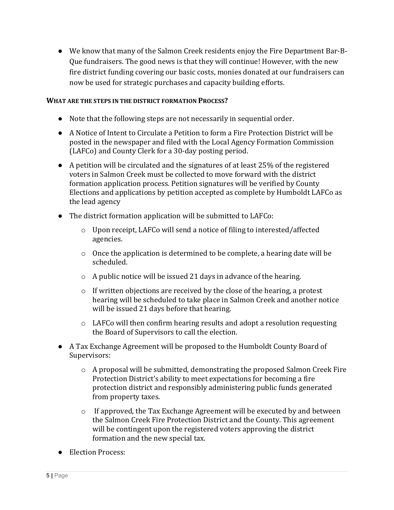● We know that many of the Salmon Creek residents enjoy the Fire Department Bar-B-Que fundraisers. The good news is that they will continue! However, with the new fire district funding covering our basic costs, monies donated at our fundraisers can now be used for strategic purchases and capacity building efforts.

#### **WHAT ARE THE STEPS IN THE DISTRICT FORMATION PROCESS?**

- Note that the following steps are not necessarily in sequential order.
- A Notice of Intent to Circulate a Petition to form a Fire Protection District will be posted in the newspaper and filed with the Local Agency Formation Commission (LAFCo) and County Clerk for a 30-day posting period.
- A petition will be circulated and the signatures of at least 25% of the registered voters in Salmon Creek must be collected to move forward with the district formation application process. Petition signatures will be verified by County Elections and applications by petition accepted as complete by Humboldt LAFCo as the lead agency
- The district formation application will be submitted to LAFCo:
	- o Upon receipt, LAFCo will send a notice of filing to interested/affected agencies.
	- $\circ$  Once the application is determined to be complete, a hearing date will be scheduled.
	- o A public notice will be issued 21 days in advance of the hearing.
	- $\circ$  If written objections are received by the close of the hearing, a protest hearing will be scheduled to take place in Salmon Creek and another notice will be issued 21 days before that hearing.
	- o LAFCo will then confirm hearing results and adopt a resolution requesting the Board of Supervisors to call the election.
- A Tax Exchange Agreement will be proposed to the Humboldt County Board of Supervisors:
	- o A proposal will be submitted, demonstrating the proposed Salmon Creek Fire Protection District's ability to meet expectations for becoming a fire protection district and responsibly administering public funds generated from property taxes.
	- o If approved, the Tax Exchange Agreement will be executed by and between the Salmon Creek Fire Protection District and the County. This agreement will be contingent upon the registered voters approving the district formation and the new special tax.
- Election Process: